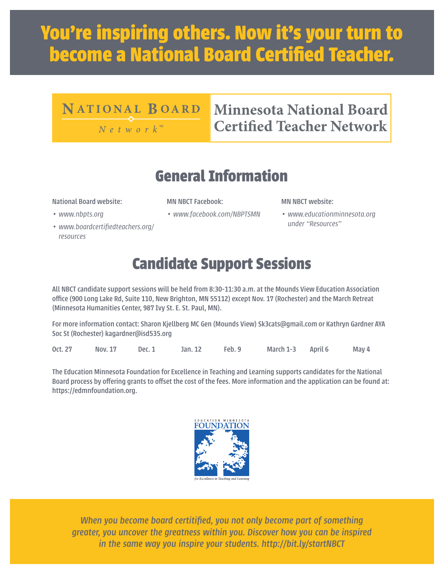# **You're inspiring others. Now it's your turn to become a National Board Certified Teacher.**

#### **NATIONAL BOARD**

 $N e t w o r k^M$ 

#### **Minnesota National Board Certified Teacher Network**

#### **General Information**

National Board website:

- *• www.nbpts.org*
- *• www.boardcertifiedteachers.org/ resources*
- MN NBCT Facebook:
- *• www.facebook.com/NBPTSMN*

MN NBCT website:

*• www.educationminnesota.org under "Resources"*

### **Candidate Support Sessions**

All NBCT candidate support sessions will be held from 8:30-11:30 a.m. at the Mounds View Education Association office (900 Long Lake Rd, Suite 110, New Brighton, MN 55112) except Nov. 17 (Rochester) and the March Retreat (Minnesota Humanities Center, 987 Ivy St. E. St. Paul, MN).

For more information contact: Sharon Kjellberg MC Gen (Mounds View) Sk3cats@gmail.com or Kathryn Gardner AYA Soc St (Rochester) kagardner@isd535.org

Oct. 27 Nov. 17 Dec. 1 Jan. 12 Feb. 9 March 1-3 April 6 May 4

The Education Minnesota Foundation for Excellence in Teaching and Learning supports candidates for the National Board process by offering grants to offset the cost of the fees. More information and the application can be found at: https://edmnfoundation.org.



*When you become board certitified, you not only become part of something greater, you uncover the greatness within you. Discover how you can be inspired in the same way you inspire your students. http://bit.ly/startNBCT*